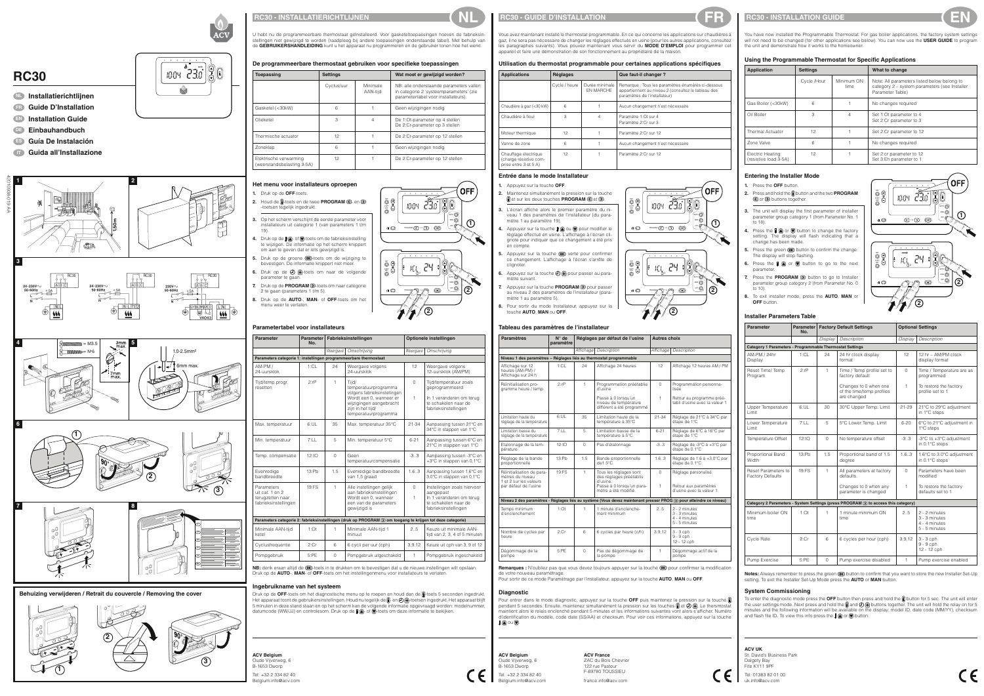



**RC30**



**NL Installatierichtlijnen FR Guide D'Installation**

**EN Installation Guide DE Einbauhandbuch**

**ES Guía De Instalación**

42010938-019 AA

## **ACV**

#### **RC30 - INSTALLATIERICHTLIJNEN NL**

U hebt nu de programmeerbare thermostaat geïnstalleerd. Voor gasketeltoepassingen hoeven de fabrieksinstellingen niet gewijzigd te worden (raadpleeg bij andere toepassingen onderstaande tabel). Met behulp van de **GEBRUIKERSHANDLEIDING** kunt u het apparaat nu programmeren en de gebruiker tonen hoe het werkt.

**De programmeerbare thermostaat gebruiken voor specifieke toepassingen**

| <b>Toepassing</b>                                    | <b>Settings</b> |                      | Wat moet er gewijzigd worden?                                                                                             |  |  |
|------------------------------------------------------|-----------------|----------------------|---------------------------------------------------------------------------------------------------------------------------|--|--|
|                                                      | Cyclus/uur      | Minimale<br>AAN-tijd | NB: alle onderstaande parameters vallen<br>in categorie 2 'systeemparameters' (zie<br>parametertabel voor installateurs). |  |  |
| Gasketel (<30kW)                                     | 6               |                      | Geen wijzigingen nodig                                                                                                    |  |  |
| Olieketel                                            | З               | 4                    | De 1:Ot-parameter op 4 stellen<br>De 2:Cr-parameter op 3 stellen                                                          |  |  |
| Thermische actuator                                  | 12              |                      | De 2:Cr-parameter op 12 stellen                                                                                           |  |  |
| Zoneklep                                             | 6               |                      | Geen wijzigingen nodig                                                                                                    |  |  |
| Elektrische verwarming<br>(weerstandsbelasting 3-5A) | 12              |                      | De 2:Cr-parameter op 12 stellen                                                                                           |  |  |

NB: denk eraan altijd de <sup>OK</sup>-toets in te drukken om te bevestigen dat u de nieuwe instellingen wilt opslaan. Druk op de **AUTO**-, **MAN**- of **OFF**-toets om het instellingenmenu voor installateurs te verlaten.

#### **Het menu voor installateurs oproepen**

- **1.** Druk op de **OFF**-toets.
- **2.** Houd de **i**-toets en de twee **PROGRAM 4** en  $\bigcirc$ -toetsen tegelijk ingedrukt.
- **3.** Op het scherm verschijnt de eerste parameter voor installateurs uit categorie 1 (van parameters 1 t/m 19).
- **4.** Druk op de  $\left[\frac{1}{2}\right]$  of  $\left[\frac{1}{2}\right]$ -toets om de fabrieksinstelling te wijzigen. De informatie op het scherm knippert om aan te geven dat er iets gewijzigd is.
- **5.** Druk op de groene OK toets om de wijziging te bevestigen. De informatie knippert niet meer.
- **6.** Druk op de  $\bigoplus$  +-toets om naar de volgende parameter te gaan.
- **7.** Druk op de **PROGRAM D**-toets om naar categorie 2 te gaan (parameters 1 t/m 5).
- **8.** Druk op de **AUTO**-, **MAN** of **OFF**-toets om het menu weer te verlaten.

#### **Parametertabel voor installateurs**

#### **Ingebruikname van het systeem**

Dégomma pompe

Remarques : N'oubliez pas que vous devez toujours appuyer sur la touche OK) pour confirmer la modification de votre nouveau paramètrage.

Pour entrer dans le mode diagnostic, appuyez sur la touche **OFF** puis maintenez la pression sur la touche pendant 5 secondes. Ensuite, maintenez simultanément la pression sur les touches  $\left[\cdot\right]$  et  $\left(\cdot\right)$  (+). Le thersmostat maintient alors le relais enclenché pendant 5 minutes et les informations suivantes vont alors s'afficher. Numéro d'identification du modèle, code date (SS/AA) et checksum. Pour voir ces informations, appuyez sur la touche  $\bullet$  ou  $\bullet$ .

| <b>Parameter</b>                                                          | <b>Parameter</b><br>No. | Fabrieksinstellingen<br>Optionele instellingen |                                                                                                                       |                  |                                                                                                                      |
|---------------------------------------------------------------------------|-------------------------|------------------------------------------------|-----------------------------------------------------------------------------------------------------------------------|------------------|----------------------------------------------------------------------------------------------------------------------|
|                                                                           |                         | Weergave                                       | Omschrijving                                                                                                          | Weergave         | Omschrijving                                                                                                         |
| Parameters categorie 1: instellingen programmeerbare thermostaat          |                         |                                                |                                                                                                                       |                  |                                                                                                                      |
| AM-PM /<br>24-uursklok                                                    | 1:CL                    | 24                                             | Weergave volgens<br>24-uursklok                                                                                       | 12               | Weergave volgens<br>12-uursklok (AM/PM)                                                                              |
| Tijd/temp.progr.<br>resetten                                              | $2:$ r $P$              | 1                                              | Tijd/<br>temperatuurprogramma<br>volgens fabrieksinstellingen                                                         | $\mathbf{O}$     | Tijd/temperatuur zoals<br>geprogrammeerd                                                                             |
|                                                                           |                         |                                                | Wordt een 0, wanneer er<br>wijzigingen aangebracht<br>zijn in het tijd/<br>temperatuurprogramma                       | 1                | In 1 veranderen om terug<br>te schakelen naar de<br>fabrieksinstellingen                                             |
| Max. temperatuur                                                          | 6:UL                    | 35                                             | Max. temperatuur 35°C                                                                                                 | $21 - 34$        | Aanpassing tussen 21°C en<br>34°C in stappen van 1°C                                                                 |
| Min. temperatuur                                                          | 7:LL                    | 5                                              | Min. temperatuur 5°C                                                                                                  | $6 - 21$         | Aanpassing tussen 6°C en<br>21°C in stappen van 1°C                                                                  |
| Temp. compensatie                                                         | 12:10                   | $\Omega$                                       | Geen<br>temperatuurcompensatie                                                                                        | $-3.3$           | Aanpassing tussen -3°C en<br>+3°C in stappen van 0,1°C                                                               |
| Evenredige<br>bandbreedte                                                 | 13:Ph                   | 1.5                                            | Evenredige bandbreedte<br>van 1,5 graad                                                                               | 1.6.3            | Aanpassing tussen 1,6°C en<br>3,0°C in stappen van 0,1°C                                                             |
| Parameters<br>uit cat. 1 en 2<br>terugzetten naar<br>fabrieksinstellingen | 19:FS                   | 1                                              | Alle instellingen gelijk<br>aan fabrieksinstellingen<br>Wordt een 0, wanneer<br>een van de parameters<br>gewijzigd is | $\mathbf 0$<br>1 | Instellingen zoals hiervoor<br>aangepast<br>In 1 veranderen om terug<br>te schakelen naar de<br>fabrieksinstellingen |
|                                                                           |                         |                                                | Parameters categorie 2: fabrieksinstellingen (druk op PROGRAM 2) om toegang te krijgen tot deze categorie)            |                  |                                                                                                                      |
| Minimale AAN-tijd<br>ketel                                                | $1:$ Ot                 | 1                                              | Minimale AAN-tijd 1<br>minuut                                                                                         | 2.5              | Keuze uit minimale AAN-<br>tijd van 2, 3, 4 of 5 minuten                                                             |
| Cyclusfrequentie                                                          | 2:Cr                    | 6                                              | 6 cycli per uur (cph)                                                                                                 | 3,9,12           | Keuze uit cph van 3, 9 of 12                                                                                         |
| Pompgebruik                                                               | 5:PE                    | $\overline{0}$                                 | Pompgebruik uitgeschakeld                                                                                             | $\mathbf{1}$     | Pompgebruik ingeschakeld                                                                                             |

**ACV Belgium**  Oude Vijverweg, 6 B-1653 Dworp Tel: +32 2 334 82 40 Belgium.info@acv.com

Druk op de OFF-toets om het diagnostische menu op te roepen en houd dan de **fi**-toets 5 seconden ingedrukt. Het apparaat toont de gebruikersinstellingen. Houd nu tegelijk de  $\hat{L}$ - en  $\mathcal{O}(+)$ -toetsen ingedrukt. Het apparaat blijft 5 minuten in deze stand staan en op het scherm kan de volgende informatie opgevraagd worden: modelnummer, datumcode (WW/JJ) en controlesom. Druk op de  $\mathbf{F}(\mathbf{A})$ - of  $\mathbf{V}$ -toets om deze informatie te bekijken.

Réinitialisa mètres du et 2 sur les par défaut

**2.** Maintenez simultanément la pression sur la touche **f** et sur les deux touches **PROGRAM et D**.

> **ACV UK**  St. David's Business Park Dalgety Bay Fife KY11 9PF Tel: 01383 82 01 00 uk.info@acv.com

```
ACV Belgium 
Oude Vijverweg, 6 
B-1653 Dworp
```
Tel: +32 2 334 82 40 Belgium.info@acv.com

**4.** Appuyez sur la touche  $\mathbf{\hat{F}}$  ou  $\mathbf{\nabla}$  pour modifier le réglage effectué en usine. L'affichage à l'écran clignote pour indiquer que ce changement a été pris en compte.

> **ACV France** ZAC du Bois Chevrier 122 rue Pasteur F-69780 TOUSSIEU france.info@acv.com



#### **RC30 - INSTALLATION GUIDE**

**5.** Appuyez sur la touche CK verte pour confirmer ce changement. L'affichage à l'écran s'arrête de

COPY DAY

> **6.** Appuyez sur la touche  $\bigoplus$   $\bigoplus$  pour passer au paramètre suivant.



**7.** Appuyez sur la touche **PROGRAM D** pour passer au niveau 2 des paramètres de l'installateur (para-



# $\bullet$

#### **RC30 - GUIDE D'INSTALLATION FR**

Vous avez maintenant installé le thermostat programmable. En ce qui concerne les applications sur chaudières à gaz, il ne sera pas nécessaire de changer les réglages effectués en usine (pour les autres applications, consultez les paragraphes suivants). Vous pouvez maintenant vous servir du **MODE D'EMPLOI** pour programmer cet appareil et faire une démonstration de son fonctionnement au propriétaire de la maison.

- **1.** Press the **OFF** button.
- **2.** Press and hold the button and the two **PROGRAM** or  $\bigcirc$  buttons together.
- **3.** The unit will display the first parameter of installer parameter group category 1 (from Parameter No. 1 to 18).
- **4.** Press the  $\mathbf{F} \text{ } \textcircled{\tiny \bullet}$  or  $\mathbf{F}$  button to change the factory setting. The display will flash indicating that a change has been made.
- **5.** Press the green  $\overline{OR}$  button to confirm the change. The display will stop flashing.
- **6.** Press the  $\mathbf{F} \quad \text{or} \quad \nabla$  button to go to the next parameter.
- **7.** Press the **PROGRAM D** button to go to Installer parameter group category 2 (from Parameter No. 0 to 10).
- **8.** To exit installer mode, press the **AUTO**, **MAN** or **OFF** button.

#### **Utilisation du thermostat programmable pour certaines applications spécifiques**

Notes: Always remember to press the green OK button to confirm that you want to store the new Installer Set-Up setting. To exit the Installer Set-Up Mode press the **AUTO** or **MAN** button.

Pour sortir de ce mode Paramètrage par l'installateur, appuyez sur la touche **AUTO**, **MAN** ou **OFF**.



| <b>Applications</b>                                                     | <b>Réglages</b> |                             | Que faut-il changer?                                                                                                                       |  |  |
|-------------------------------------------------------------------------|-----------------|-----------------------------|--------------------------------------------------------------------------------------------------------------------------------------------|--|--|
|                                                                         | Cycle / heure   | Durée minimale<br>EN MARCHE | Remarque : Tous les paramètres énumérés ci-dessous<br>appartiennent au niveau 2 (consultez le tableau des<br>paramètres de l'installateur) |  |  |
| Chaudière à gaz (<30 kW)                                                | 6               |                             | Aucun changement n'est nécessaire                                                                                                          |  |  |
| Chaudière à fioul                                                       | 3               | 4                           | Paramètre 1: Ot sur 4<br>Paramètre 2: Cr sur 3                                                                                             |  |  |
| Moteur thermique                                                        | 12              |                             | Paramètre 2: Cr sur 12                                                                                                                     |  |  |
| Vanne de zone                                                           | 6               |                             | Aucun changement n'est nécessaire                                                                                                          |  |  |
| Chauffage électrique<br>(charge résistive com-<br>prise entre 3 et 5 A) | 12              |                             | Paramètre 2: Cr sur 12                                                                                                                     |  |  |

| <b>Paramètres</b>                                                       | $N^{\circ}$ de<br>paramètre | Réglages par défaut de l'usine |                                                                           | <b>Autres choix</b> |                                                                                                                             |  |
|-------------------------------------------------------------------------|-----------------------------|--------------------------------|---------------------------------------------------------------------------|---------------------|-----------------------------------------------------------------------------------------------------------------------------|--|
|                                                                         |                             | Affichage                      | Description                                                               | Affichage           | Description                                                                                                                 |  |
| Niveau 1 des paramètres - Réglages liés au thermostat programmable      |                             |                                |                                                                           |                     |                                                                                                                             |  |
| Affichage sur 12<br>heures (AM-PM) /<br>Affichage sur 24 h              | 1:CL                        | 24                             | Affichage 24 heures                                                       | 12                  | Affichage 12 heures AM / PM                                                                                                 |  |
| Réinitialisation pro-<br>gramme heure / temp.                           | $2:$ r $P$                  | $\mathbf{1}$                   | Programmation préétablie<br>d'usine                                       | $\Omega$            | Programmation personna-<br>lisée                                                                                            |  |
|                                                                         |                             |                                | Passe à 0 lorsqu'un<br>niveau de température<br>différent a été programmé | 1                   | Retour au programme préé-<br>tabli d'usine avec la valeur 1                                                                 |  |
| Limitation haute du<br>réglage de la température                        | 6:UL                        | 35                             | Limitation haute de la<br>température à 35°C                              | $21 - 34$           | Réglage de 21°C à 34°C par<br>étape de 1°C                                                                                  |  |
| Limitation basse du<br>réglage de la température                        | 7:1                         | 5                              | Limitation basse de la<br>température à 5°C                               | $6 - 21$            | Réglage de 6°C à 16°C par<br>étape de 1°C                                                                                   |  |
| Etalonnage de la tem-<br>pérature                                       | 12:10                       | $\Omega$                       | Pas d'étalonnage                                                          | $-3.3$              | Réglage de -3°C à +3°C par<br>étape de 0.1°C                                                                                |  |
| Réglage de la bande<br>proportionnelle                                  | 13:Ph                       | 1.5                            | Bande proportionnelle<br>$de1.5^{\circ}$ C                                | 1.63                | Réglage de 1.6 à +3.0°C par<br>étape de 0.1°C                                                                               |  |
| Réinitialisation de para-<br>mètres du niveau<br>1 et 2 sur les valeurs | 19:FS                       | 1                              | Tous les réglages sont<br>des réglages préétablis<br>d'usine.             | $\Omega$            | Réglage personalisé.                                                                                                        |  |
| par défaut de l'usine                                                   |                             |                                | Passe à 0 lorsqu'un para-<br>mètre a été modifié.                         | $\mathbf{1}$        | Retour aux paramètres<br>d'usine avec la valeur 1.                                                                          |  |
|                                                                         |                             |                                |                                                                           |                     | Niveau 2 des paramètres - Réglages liés au système (Vous devez maintenant presser PROG $\bigcirc$ pour atteindre ce niveau) |  |
| Temps minimum<br>d'enclenchement                                        | $1:$ Ot                     | 1                              | 1 minute d'enclenche-<br>ment minimum                                     | 2.5                 | 2 - 2 minutes<br>3 - 3 minutes<br>4 - 4 minutes<br>$5 - 5$ minutes                                                          |  |
| Nombre de cycles par<br>heure                                           | 2:Cr                        | 6                              | 6 cycles par heure (c/h)                                                  | 3, 9, 12            | $3 - 3$ cph<br>$9 - 9$ cph<br>12 - 12 cph                                                                                   |  |
| Dégommage de la<br>pompe                                                | 5:PE                        | 0                              | Pas de dégommage de<br>la pompe                                           | 1                   | Dégommage actif de la<br>pompe                                                                                              |  |



**2**

#### **Entrée dans le mode Installateur**

**1.** Appuyez sur la touche **OFF**.

**3.** L'écran affiche alors le premier paramètre du niveau 1 des paramètres de l'installateur (du paramètre 1 au paramètre 19).

clignoter.

mètre 1 au paramètre 5). **8.** Pour sortir du mode Installateur, appuyez sur la touche **AUTO**, **MAN** ou **OFF**.

**Tableau des paramètres de l'installateur**

You have now installed the Programmable Thermostat. For gas boiler applications, the factory system settings will not need to be changed (for other applications see below). You can now use the **USER GUIDE** to program the unit and demonstrate how it works to the homeowner.

#### **Using the Programmable Thermostat for Specific Applications**

| <b>Application</b>                        | <b>Settings</b> |                    | What to change                                                                                                   |
|-------------------------------------------|-----------------|--------------------|------------------------------------------------------------------------------------------------------------------|
|                                           | Cycle /Hour     | Minimum ON<br>time | Note: All parameters listed below belong to<br>category 2 – system parameters (see Installer<br>Parameter Table) |
| Gas Boiler (<30kW)                        | 6               |                    | No changes required                                                                                              |
| Oil Boiler                                | З               | 4                  | Set 1:0t parameter to 4<br>Set 2:Cr parameter to 3                                                               |
| <b>Thermal Actuator</b>                   | 12              |                    | Set 2:Cr parameter to 12                                                                                         |
| Zone Valve                                | 6               |                    | No changes required                                                                                              |
| Electric Heating<br>(resistive load 3-5A) | 12              |                    | Set 2:cr parameter to 12<br>Set 3:Eh parameter to 1                                                              |

#### **Entering the Installer Mode**

#### **Installer Parameters Table**

| <b>Parameter</b>                                         | Parameter<br>No. | <b>Factory Default Settings</b> |                                                                                   | <b>Optional Settings</b> |                                                                  |  |
|----------------------------------------------------------|------------------|---------------------------------|-----------------------------------------------------------------------------------|--------------------------|------------------------------------------------------------------|--|
|                                                          |                  | Display                         | Description                                                                       | Display                  | Description                                                      |  |
| Category 1 Parameters - Programmable Thermostat Settings |                  |                                 |                                                                                   |                          |                                                                  |  |
| AM-PM / 24hr<br>Display                                  | 1:CL             | 24                              | 24 hr clock display<br>format                                                     | 12                       | 12 hr - AM/PM clock<br>display format                            |  |
| Reset Time/Temp<br>Program                               | $2:$ r $P$       | 1                               | Time / Temp profile set to<br>factory default                                     | 0                        | Time / Temperature are as<br>programmed                          |  |
|                                                          |                  |                                 | Changes to 0 when one<br>of the time/temp profiles<br>are changed                 | 1.                       | To restore the factory<br>profile set to 1                       |  |
| Upper Temperature<br>Limit                               | 6:UL             | 30                              | 30°C Upper Temp. Limit                                                            | $21 - 29$                | 21°C to 29°C adjustment<br>in 1°C steps                          |  |
| Lower Temperature<br>Limit                               | 7:LL             | 5                               | 5°C Lower Temp. Limit                                                             | $6 - 20$                 | 6°C to 21°C adjustment in<br>1°C steps                           |  |
| Temperature Offset                                       | 12:10            | $\mathbf{0}$                    | No temperature offset                                                             | $-3.3$                   | -3°C to +3°C adjustment<br>in 0.1°C steps                        |  |
| Proportional Band<br>Width                               | 13:Ph            | 1.5                             | Proportional band of 1.5<br>degree                                                | 1.6.3                    | 1.6°C to 3.0°C adjustment<br>in 0.1°C steps                      |  |
| Reset Parameters to<br><b>Factory Defaults</b>           | 19:FS            | $\mathbf{1}$                    | All parameters at factory<br>defaults.                                            | $\Omega$                 | Parameters have been<br>modified                                 |  |
|                                                          |                  |                                 | Changes to 0 when any<br>parameter is changed                                     | 1                        | To restore the factory<br>defaults set to 1                      |  |
|                                                          |                  |                                 | Category 2 Parameters - System Settings (press PROGRAM 2 to access this category) |                          |                                                                  |  |
| Minimum boiler ON<br>time                                | 1:Or             | 1                               | 1 minute minimum ON<br>time                                                       | 2.5                      | 2 - 2 minutes<br>3 - 3 minutes<br>4 - 4 minutes<br>5 - 5 minutes |  |
| <b>Cycle Rate</b>                                        | 2:Cr             | 6                               | 6 cycles per hour (cph)                                                           | 3, 9, 12                 | $3 - 3$ cph<br>$9 - 9$ cph<br>12 - 12 cph                        |  |
| Pump Exercise                                            | 5:PE             | $\Omega$                        | Pump exercise disabled                                                            | 1                        | Pump exercise enabled                                            |  |

#### **System Commissioning**

To enter the diagnostic mode press the **OFF** button then press and hold the **b**) button for 5 sec. The unit will enter the user settings mode. Next press and hold the  $|{\bf i}|$  and  $\Theta$  (+) buttons together. The unit will hold the relay on for 5 minutes and the following information will be available on the display: model ID, date code (MM/YY), checksum and flash file ID. To view this info press the  $\mathbf{F}(\blacktriangle)$  or  $\nabla$  button.





**Behuizing verwijderen / Retrait du couvercle / Removing the cover**